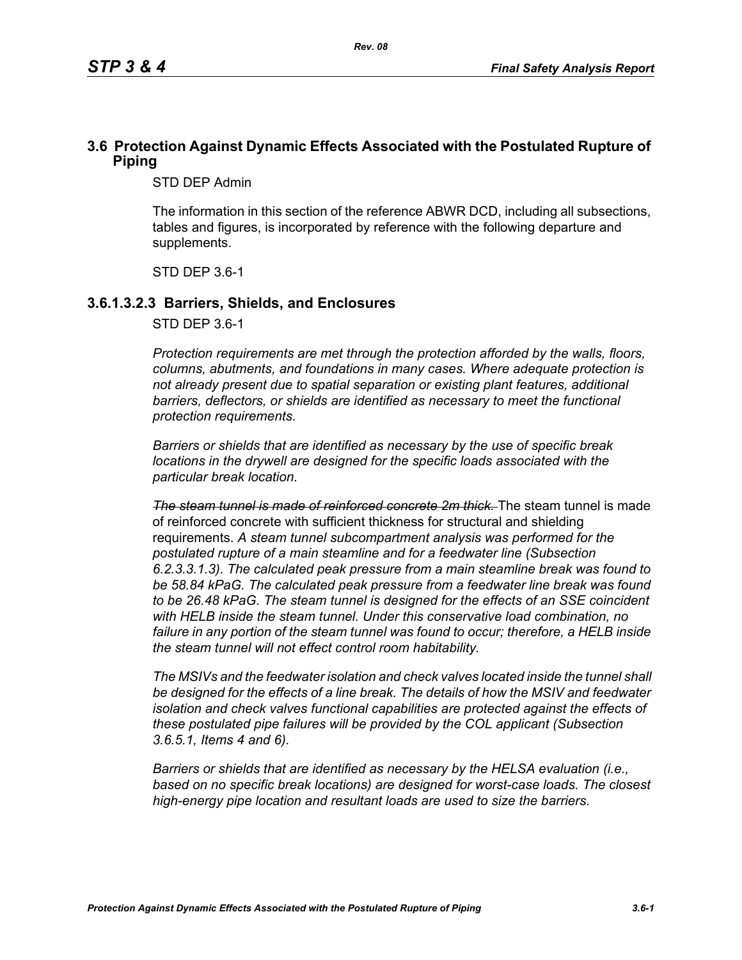## **3.6 Protection Against Dynamic Effects Associated with the Postulated Rupture of Piping**

STD DEP Admin

The information in this section of the reference ABWR DCD, including all subsections, tables and figures, is incorporated by reference with the following departure and supplements.

STD DEP 3.6-1

#### **3.6.1.3.2.3 Barriers, Shields, and Enclosures**

STD DEP 3.6-1

*Protection requirements are met through the protection afforded by the walls, floors, columns, abutments, and foundations in many cases. Where adequate protection is not already present due to spatial separation or existing plant features, additional*  barriers, deflectors, or shields are identified as necessary to meet the functional *protection requirements.*

*Barriers or shields that are identified as necessary by the use of specific break locations in the drywell are designed for the specific loads associated with the particular break location.*

*The steam tunnel is made of reinforced concrete 2m thick.* The steam tunnel is made of reinforced concrete with sufficient thickness for structural and shielding requirements. *A steam tunnel subcompartment analysis was performed for the postulated rupture of a main steamline and for a feedwater line (Subsection 6.2.3.3.1.3). The calculated peak pressure from a main steamline break was found to be 58.84 kPaG. The calculated peak pressure from a feedwater line break was found to be 26.48 kPaG. The steam tunnel is designed for the effects of an SSE coincident with HELB inside the steam tunnel. Under this conservative load combination, no failure in any portion of the steam tunnel was found to occur; therefore, a HELB inside the steam tunnel will not effect control room habitability.*

*The MSIVs and the feedwater isolation and check valves located inside the tunnel shall be designed for the effects of a line break. The details of how the MSIV and feedwater isolation and check valves functional capabilities are protected against the effects of these postulated pipe failures will be provided by the COL applicant (Subsection 3.6.5.1, Items 4 and 6).*

*Barriers or shields that are identified as necessary by the HELSA evaluation (i.e., based on no specific break locations) are designed for worst-case loads. The closest high-energy pipe location and resultant loads are used to size the barriers.*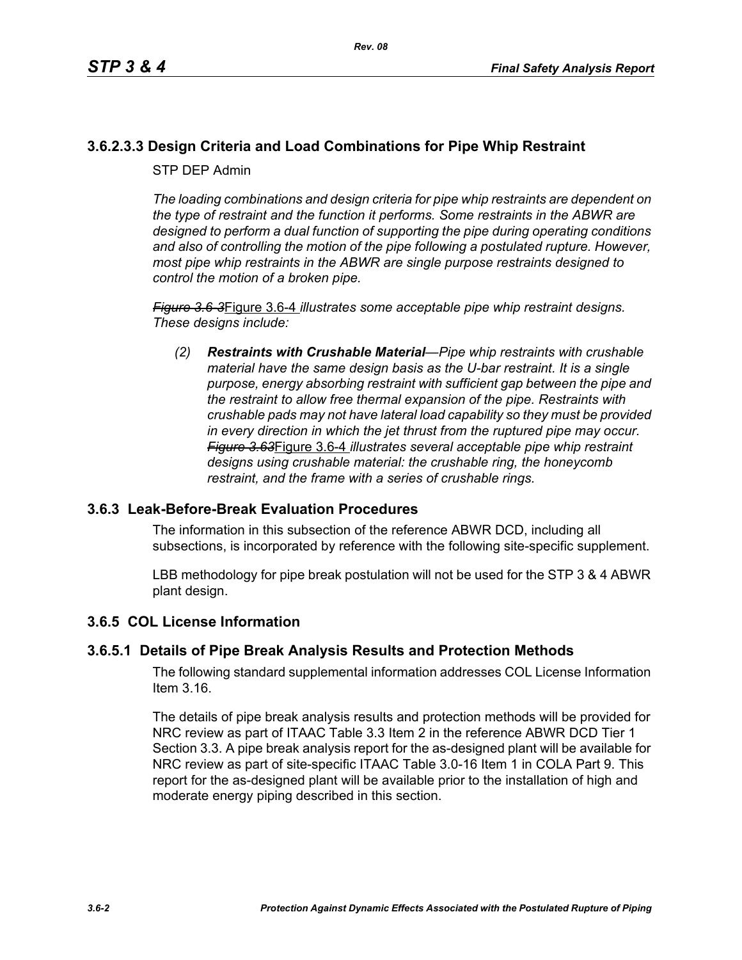# **3.6.2.3.3 Design Criteria and Load Combinations for Pipe Whip Restraint**

STP DEP Admin

*The loading combinations and design criteria for pipe whip restraints are dependent on the type of restraint and the function it performs. Some restraints in the ABWR are designed to perform a dual function of supporting the pipe during operating conditions and also of controlling the motion of the pipe following a postulated rupture. However, most pipe whip restraints in the ABWR are single purpose restraints designed to control the motion of a broken pipe.*

*Figure 3.6-3*Figure 3.6-4 *illustrates some acceptable pipe whip restraint designs. These designs include:*

*(2) Restraints with Crushable Material—Pipe whip restraints with crushable material have the same design basis as the U-bar restraint. It is a single purpose, energy absorbing restraint with sufficient gap between the pipe and the restraint to allow free thermal expansion of the pipe. Restraints with crushable pads may not have lateral load capability so they must be provided in every direction in which the jet thrust from the ruptured pipe may occur. Figure 3.63*Figure 3.6-4 *illustrates several acceptable pipe whip restraint designs using crushable material: the crushable ring, the honeycomb restraint, and the frame with a series of crushable rings.*

### **3.6.3 Leak-Before-Break Evaluation Procedures**

The information in this subsection of the reference ABWR DCD, including all subsections, is incorporated by reference with the following site-specific supplement.

LBB methodology for pipe break postulation will not be used for the STP 3 & 4 ABWR plant design.

### **3.6.5 COL License Information**

### **3.6.5.1 Details of Pipe Break Analysis Results and Protection Methods**

The following standard supplemental information addresses COL License Information Item 3.16.

The details of pipe break analysis results and protection methods will be provided for NRC review as part of ITAAC Table 3.3 Item 2 in the reference ABWR DCD Tier 1 Section 3.3. A pipe break analysis report for the as-designed plant will be available for NRC review as part of site-specific ITAAC Table 3.0-16 Item 1 in COLA Part 9. This report for the as-designed plant will be available prior to the installation of high and moderate energy piping described in this section.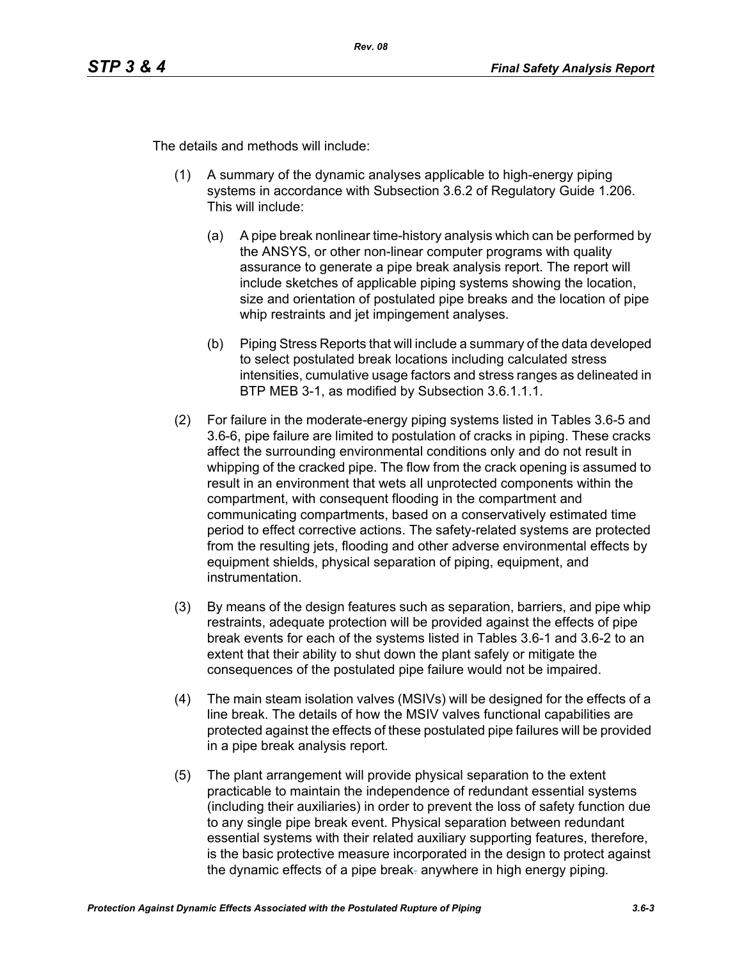The details and methods will include:

- (1) A summary of the dynamic analyses applicable to high-energy piping systems in accordance with Subsection 3.6.2 of Regulatory Guide 1.206. This will include:
	- (a) A pipe break nonlinear time-history analysis which can be performed by the ANSYS, or other non-linear computer programs with quality assurance to generate a pipe break analysis report. The report will include sketches of applicable piping systems showing the location, size and orientation of postulated pipe breaks and the location of pipe whip restraints and jet impingement analyses.
	- (b) Piping Stress Reports that will include a summary of the data developed to select postulated break locations including calculated stress intensities, cumulative usage factors and stress ranges as delineated in BTP MEB 3-1, as modified by Subsection 3.6.1.1.1.
- (2) For failure in the moderate-energy piping systems listed in Tables 3.6-5 and 3.6-6, pipe failure are limited to postulation of cracks in piping. These cracks affect the surrounding environmental conditions only and do not result in whipping of the cracked pipe. The flow from the crack opening is assumed to result in an environment that wets all unprotected components within the compartment, with consequent flooding in the compartment and communicating compartments, based on a conservatively estimated time period to effect corrective actions. The safety-related systems are protected from the resulting jets, flooding and other adverse environmental effects by equipment shields, physical separation of piping, equipment, and instrumentation.
- (3) By means of the design features such as separation, barriers, and pipe whip restraints, adequate protection will be provided against the effects of pipe break events for each of the systems listed in Tables 3.6-1 and 3.6-2 to an extent that their ability to shut down the plant safely or mitigate the consequences of the postulated pipe failure would not be impaired.
- (4) The main steam isolation valves (MSIVs) will be designed for the effects of a line break. The details of how the MSIV valves functional capabilities are protected against the effects of these postulated pipe failures will be provided in a pipe break analysis report*.*
- (5) The plant arrangement will provide physical separation to the extent practicable to maintain the independence of redundant essential systems (including their auxiliaries) in order to prevent the loss of safety function due to any single pipe break event. Physical separation between redundant essential systems with their related auxiliary supporting features, therefore, is the basic protective measure incorporated in the design to protect against the dynamic effects of a pipe break. anywhere in high energy piping*.*